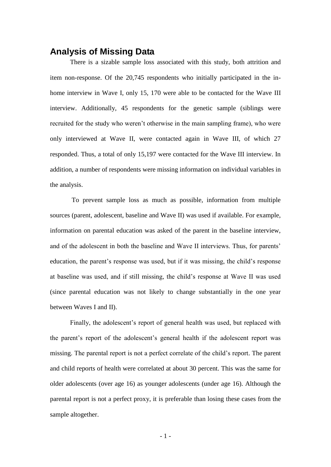# **Analysis of Missing Data**

There is a sizable sample loss associated with this study, both attrition and item non-response. Of the 20,745 respondents who initially participated in the inhome interview in Wave I, only 15, 170 were able to be contacted for the Wave III interview. Additionally, 45 respondents for the genetic sample (siblings were recruited for the study who weren't otherwise in the main sampling frame), who were only interviewed at Wave II, were contacted again in Wave III, of which 27 responded. Thus, a total of only 15,197 were contacted for the Wave III interview. In addition, a number of respondents were missing information on individual variables in the analysis.

To prevent sample loss as much as possible, information from multiple sources (parent, adolescent, baseline and Wave II) was used if available. For example, information on parental education was asked of the parent in the baseline interview, and of the adolescent in both the baseline and Wave II interviews. Thus, for parents' education, the parent's response was used, but if it was missing, the child's response at baseline was used, and if still missing, the child's response at Wave II was used (since parental education was not likely to change substantially in the one year between Waves I and II).

Finally, the adolescent's report of general health was used, but replaced with the parent's report of the adolescent's general health if the adolescent report was missing. The parental report is not a perfect correlate of the child's report. The parent and child reports of health were correlated at about 30 percent. This was the same for older adolescents (over age 16) as younger adolescents (under age 16). Although the parental report is not a perfect proxy, it is preferable than losing these cases from the sample altogether.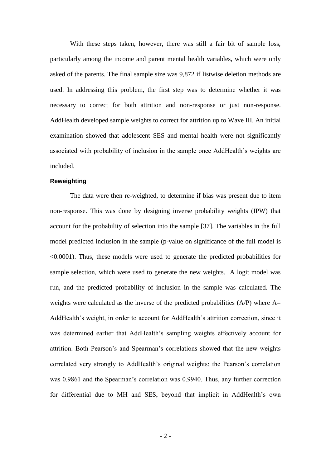With these steps taken, however, there was still a fair bit of sample loss, particularly among the income and parent mental health variables, which were only asked of the parents. The final sample size was 9,872 if listwise deletion methods are used. In addressing this problem, the first step was to determine whether it was necessary to correct for both attrition and non-response or just non-response. AddHealth developed sample weights to correct for attrition up to Wave III. An initial examination showed that adolescent SES and mental health were not significantly associated with probability of inclusion in the sample once AddHealth's weights are included.

#### **Reweighting**

The data were then re-weighted, to determine if bias was present due to item non-response. This was done by designing inverse probability weights (IPW) that account for the probability of selection into the sample [37]. The variables in the full model predicted inclusion in the sample (p-value on significance of the full model is <0.0001). Thus, these models were used to generate the predicted probabilities for sample selection, which were used to generate the new weights. A logit model was run, and the predicted probability of inclusion in the sample was calculated. The weights were calculated as the inverse of the predicted probabilities (A/P) where A= AddHealth's weight, in order to account for AddHealth's attrition correction, since it was determined earlier that AddHealth's sampling weights effectively account for attrition. Both Pearson's and Spearman's correlations showed that the new weights correlated very strongly to AddHealth's original weights: the Pearson's correlation was 0.9861 and the Spearman's correlation was 0.9940. Thus, any further correction for differential due to MH and SES, beyond that implicit in AddHealth's own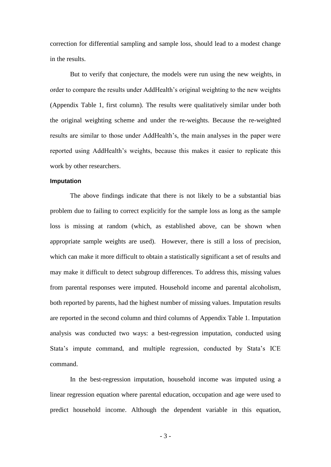correction for differential sampling and sample loss, should lead to a modest change in the results.

But to verify that conjecture, the models were run using the new weights, in order to compare the results under AddHealth's original weighting to the new weights (Appendix Table 1, first column). The results were qualitatively similar under both the original weighting scheme and under the re-weights. Because the re-weighted results are similar to those under AddHealth's, the main analyses in the paper were reported using AddHealth's weights, because this makes it easier to replicate this work by other researchers.

## **Imputation**

The above findings indicate that there is not likely to be a substantial bias problem due to failing to correct explicitly for the sample loss as long as the sample loss is missing at random (which, as established above, can be shown when appropriate sample weights are used). However, there is still a loss of precision, which can make it more difficult to obtain a statistically significant a set of results and may make it difficult to detect subgroup differences. To address this, missing values from parental responses were imputed. Household income and parental alcoholism, both reported by parents, had the highest number of missing values. Imputation results are reported in the second column and third columns of Appendix Table 1. Imputation analysis was conducted two ways: a best-regression imputation, conducted using Stata's impute command, and multiple regression, conducted by Stata's ICE command.

In the best-regression imputation, household income was imputed using a linear regression equation where parental education, occupation and age were used to predict household income. Although the dependent variable in this equation,

- 3 -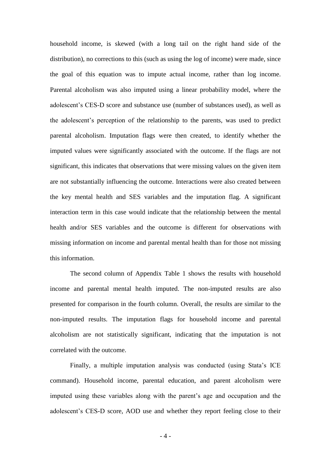household income, is skewed (with a long tail on the right hand side of the distribution), no corrections to this (such as using the log of income) were made, since the goal of this equation was to impute actual income, rather than log income. Parental alcoholism was also imputed using a linear probability model, where the adolescent's CES-D score and substance use (number of substances used), as well as the adolescent's perception of the relationship to the parents, was used to predict parental alcoholism. Imputation flags were then created, to identify whether the imputed values were significantly associated with the outcome. If the flags are not significant, this indicates that observations that were missing values on the given item are not substantially influencing the outcome. Interactions were also created between the key mental health and SES variables and the imputation flag. A significant interaction term in this case would indicate that the relationship between the mental health and/or SES variables and the outcome is different for observations with missing information on income and parental mental health than for those not missing this information.

The second column of Appendix Table 1 shows the results with household income and parental mental health imputed. The non-imputed results are also presented for comparison in the fourth column. Overall, the results are similar to the non-imputed results. The imputation flags for household income and parental alcoholism are not statistically significant, indicating that the imputation is not correlated with the outcome.

Finally, a multiple imputation analysis was conducted (using Stata's ICE command). Household income, parental education, and parent alcoholism were imputed using these variables along with the parent's age and occupation and the adolescent's CES-D score, AOD use and whether they report feeling close to their

- 4 -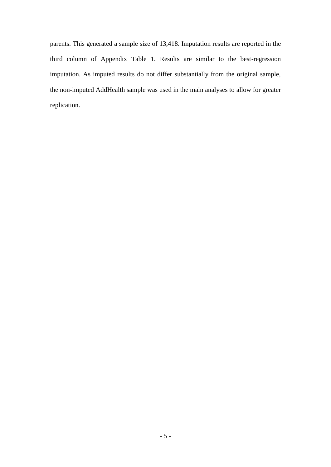parents. This generated a sample size of 13,418. Imputation results are reported in the third column of Appendix Table 1. Results are similar to the best-regression imputation. As imputed results do not differ substantially from the original sample, the non-imputed AddHealth sample was used in the main analyses to allow for greater replication.